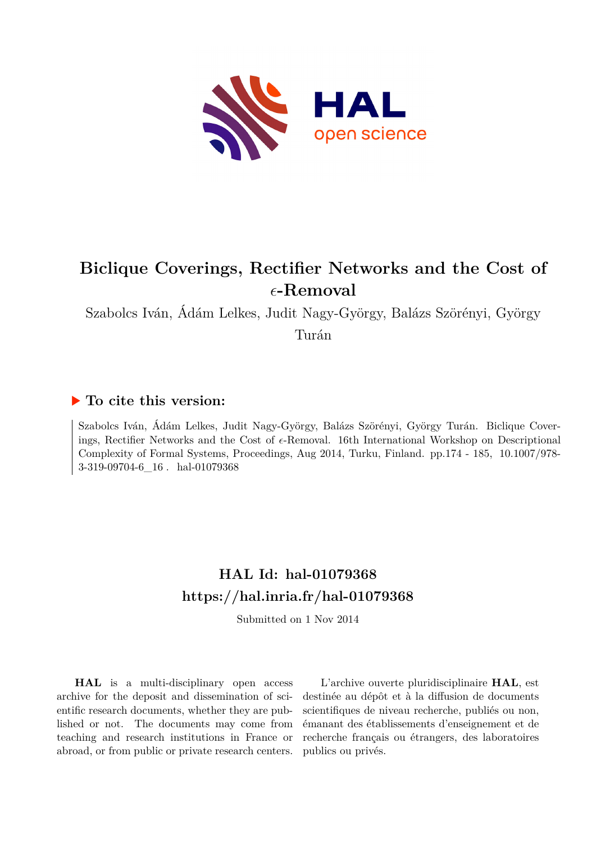

# **Biclique Coverings, Rectifier Networks and the Cost of** *ϵ***-Removal**

Szabolcs Iván, Ádám Lelkes, Judit Nagy-György, Balázs Szörényi, György

Turán

## **To cite this version:**

Szabolcs Iván, Ádám Lelkes, Judit Nagy-György, Balázs Szörényi, György Turán. Biclique Coverings, Rectifier Networks and the Cost of *ϵ*-Removal. 16th International Workshop on Descriptional Complexity of Formal Systems, Proceedings, Aug 2014, Turku, Finland. pp.174 - 185, 10.1007/978-3-319-09704-6  $16$ . hal-01079368

# **HAL Id: hal-01079368 <https://hal.inria.fr/hal-01079368>**

Submitted on 1 Nov 2014

**HAL** is a multi-disciplinary open access archive for the deposit and dissemination of scientific research documents, whether they are published or not. The documents may come from teaching and research institutions in France or abroad, or from public or private research centers.

L'archive ouverte pluridisciplinaire **HAL**, est destinée au dépôt et à la diffusion de documents scientifiques de niveau recherche, publiés ou non, émanant des établissements d'enseignement et de recherche français ou étrangers, des laboratoires publics ou privés.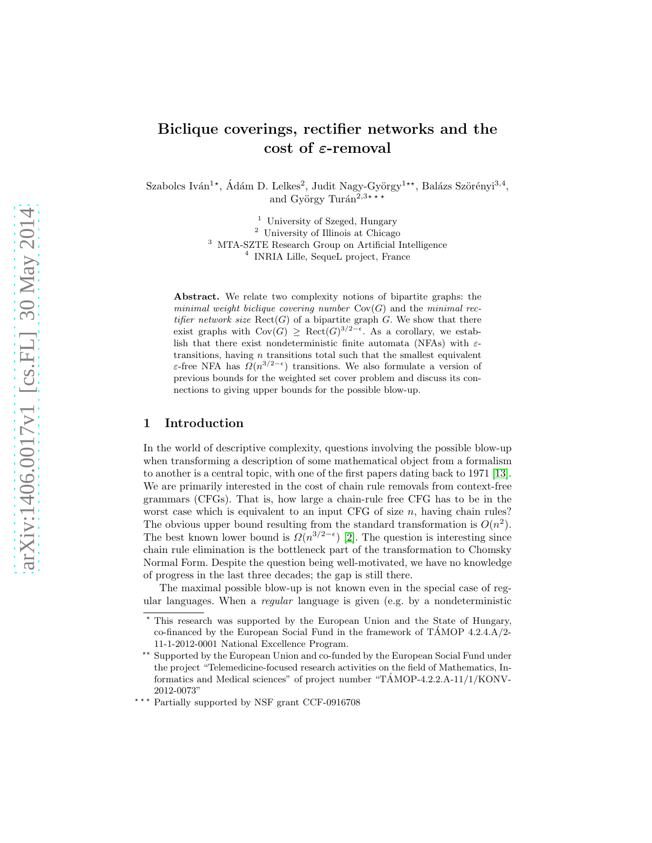## Biclique coverings, rectifier networks and the cost of ε-removal

Szabolcs Iván<sup>1</sup>\*, Ádám D. Lelkes<sup>2</sup>, Judit Nagy-György<sup>1\*\*</sup>, Balázs Szörényi<sup>3,4</sup>, and György Turán $2,3***$ 

> University of Szeged, Hungary University of Illinois at Chicago MTA-SZTE Research Group on Artificial Intelligence INRIA Lille, SequeL project, France

Abstract. We relate two complexity notions of bipartite graphs: the *minimal weight biclique covering number* Cov(G) and the *minimal rectifier network size*  $\text{Rect}(G)$  of a bipartite graph  $G$ . We show that there exist graphs with  $Cov(G) \geq Rect(G)^{3/2-\epsilon}$ . As a corollary, we establish that there exist nondeterministic finite automata (NFAs) with  $\varepsilon$ transitions, having  $n$  transitions total such that the smallest equivalent ε-free NFA has  $\Omega(n^{3/2-\epsilon})$  transitions. We also formulate a version of previous bounds for the weighted set cover problem and discuss its connections to giving upper bounds for the possible blow-up.

### 1 Introduction

In the world of descriptive complexity, questions involving the possible blow-up when transforming a description of some mathematical object from a formalism to another is a central topic, with one of the first papers dating back to 1971 [\[13\]](#page-12-0). We are primarily interested in the cost of chain rule removals from context-free grammars (CFGs). That is, how large a chain-rule free CFG has to be in the worst case which is equivalent to an input CFG of size  $n$ , having chain rules? The obvious upper bound resulting from the standard transformation is  $O(n^2)$ . The best known lower bound is  $\Omega(n^{3/2-\epsilon})$  [\[2\]](#page-12-1). The question is interesting since chain rule elimination is the bottleneck part of the transformation to Chomsky Normal Form. Despite the question being well-motivated, we have no knowledge of progress in the last three decades; the gap is still there.

The maximal possible blow-up is not known even in the special case of regular languages. When a regular language is given (e.g. by a nondeterministic

This research was supported by the European Union and the State of Hungary, co-financed by the European Social Fund in the framework of TAMOP  $4.2.4.A/2$ 11-1-2012-0001 National Excellence Program.

<sup>&</sup>lt;sup>\*\*</sup> Supported by the European Union and co-funded by the European Social Fund under the project "Telemedicine-focused research activities on the field of Mathematics, Informatics and Medical sciences" of project number "TÁMOP-4.2.2.A-11/1/KONV-2012-0073"

 $***$  Partially supported by NSF grant CCF-0916708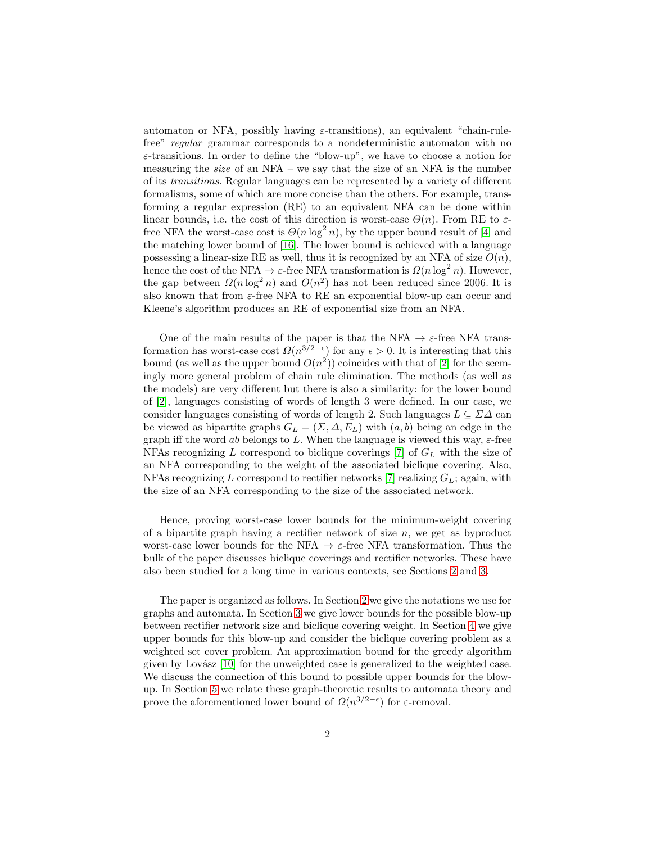automaton or NFA, possibly having  $\varepsilon$ -transitions), an equivalent "chain-rulefree" regular grammar corresponds to a nondeterministic automaton with no  $\varepsilon$ -transitions. In order to define the "blow-up", we have to choose a notion for measuring the *size* of an NFA – we say that the size of an NFA is the number of its transitions. Regular languages can be represented by a variety of different formalisms, some of which are more concise than the others. For example, transforming a regular expression (RE) to an equivalent NFA can be done within linear bounds, i.e. the cost of this direction is worst-case  $\Theta(n)$ . From RE to  $\varepsilon$ free NFA the worst-case cost is  $\Theta(n \log^2 n)$ , by the upper bound result of [\[4\]](#page-12-2) and the matching lower bound of [\[16\]](#page-12-3). The lower bound is achieved with a language possessing a linear-size RE as well, thus it is recognized by an NFA of size  $O(n)$ , hence the cost of the NFA  $\rightarrow \varepsilon$ -free NFA transformation is  $\Omega(n \log^2 n)$ . However, the gap between  $\Omega(n \log^2 n)$  and  $O(n^2)$  has not been reduced since 2006. It is also known that from  $\varepsilon$ -free NFA to RE an exponential blow-up can occur and Kleene's algorithm produces an RE of exponential size from an NFA.

One of the main results of the paper is that the NFA  $\rightarrow \varepsilon$ -free NFA transformation has worst-case cost  $\Omega(n^{3/2-\epsilon})$  for any  $\epsilon > 0$ . It is interesting that this bound (as well as the upper bound  $O(n^2)$ ) coincides with that of [\[2\]](#page-12-1) for the seemingly more general problem of chain rule elimination. The methods (as well as the models) are very different but there is also a similarity: for the lower bound of [\[2\]](#page-12-1), languages consisting of words of length 3 were defined. In our case, we consider languages consisting of words of length 2. Such languages  $L \subseteq \Sigma \Delta$  can be viewed as bipartite graphs  $G_L = (\Sigma, \Delta, E_L)$  with  $(a, b)$  being an edge in the graph iff the word ab belongs to L. When the language is viewed this way,  $\varepsilon$ -free NFAs recognizing L correspond to biclique coverings [\[7\]](#page-12-4) of  $G_L$  with the size of an NFA corresponding to the weight of the associated biclique covering. Also, NFAs recognizing L correspond to rectifier networks [\[7\]](#page-12-4) realizing  $G_L$ ; again, with the size of an NFA corresponding to the size of the associated network.

Hence, proving worst-case lower bounds for the minimum-weight covering of a bipartite graph having a rectifier network of size  $n$ , we get as byproduct worst-case lower bounds for the NFA  $\rightarrow \varepsilon$ -free NFA transformation. Thus the bulk of the paper discusses biclique coverings and rectifier networks. These have also been studied for a long time in various contexts, see Sections [2](#page-3-0) and [3.](#page-4-0)

The paper is organized as follows. In Section [2](#page-3-0) we give the notations we use for graphs and automata. In Section [3](#page-4-0) we give lower bounds for the possible blow-up between rectifier network size and biclique covering weight. In Section [4](#page-7-0) we give upper bounds for this blow-up and consider the biclique covering problem as a weighted set cover problem. An approximation bound for the greedy algorithm given by Lovász [\[10\]](#page-12-5) for the unweighted case is generalized to the weighted case. We discuss the connection of this bound to possible upper bounds for the blowup. In Section [5](#page-10-0) we relate these graph-theoretic results to automata theory and prove the aforementioned lower bound of  $\Omega(n^{3/2-\epsilon})$  for  $\varepsilon$ -removal.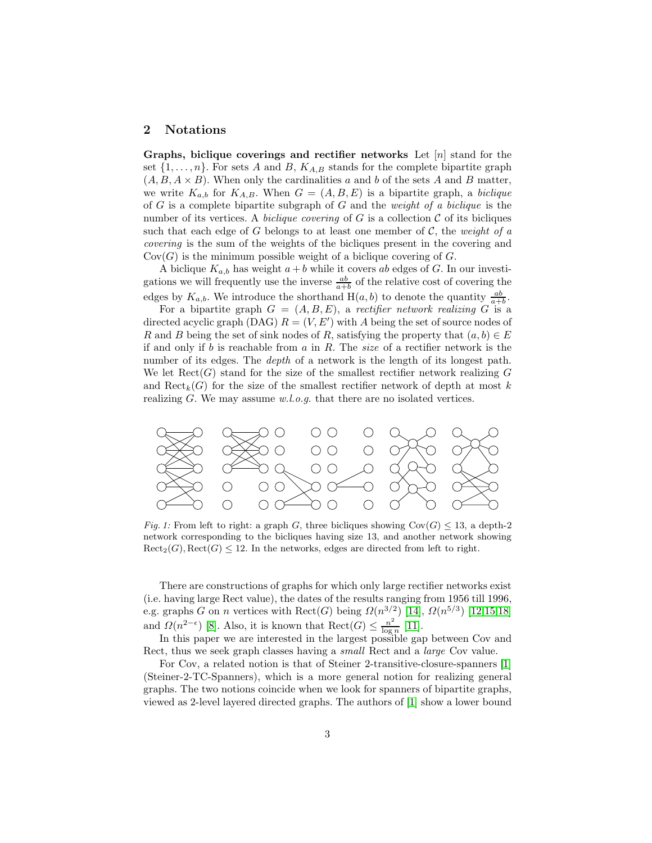#### <span id="page-3-0"></span>2 Notations

Graphs, biclique coverings and rectifier networks Let  $[n]$  stand for the set  $\{1, \ldots, n\}$ . For sets A and B,  $K_{A,B}$  stands for the complete bipartite graph  $(A, B, A \times B)$ . When only the cardinalities a and b of the sets A and B matter, we write  $K_{a,b}$  for  $K_{A,B}$ . When  $G = (A, B, E)$  is a bipartite graph, a biclique of  $G$  is a complete bipartite subgraph of  $G$  and the *weight of a biclique* is the number of its vertices. A *biclique covering* of G is a collection  $\mathcal C$  of its bicliques such that each edge of G belongs to at least one member of C, the weight of a covering is the sum of the weights of the bicliques present in the covering and  $Cov(G)$  is the minimum possible weight of a biclique covering of G.

A biclique  $K_{a,b}$  has weight  $a + b$  while it covers ab edges of G. In our investigations we will frequently use the inverse  $\frac{ab}{a+b}$  of the relative cost of covering the edges by  $K_{a,b}$ . We introduce the shorthand  $H(a, b)$  to denote the quantity  $\frac{ab}{a+b}$ .

For a bipartite graph  $G = (A, B, E)$ , a rectifier network realizing G is a directed acyclic graph (DAG)  $R = (V, E')$  with A being the set of source nodes of R and B being the set of sink nodes of R, satisfying the property that  $(a, b) \in E$ if and only if b is reachable from a in R. The size of a rectifier network is the number of its edges. The *depth* of a network is the length of its longest path. We let  $\text{Rect}(G)$  stand for the size of the smallest rectifier network realizing G and  $\text{Rect}_k(G)$  for the size of the smallest rectifier network of depth at most k realizing  $G$ . We may assume  $w.l.o.g.$  that there are no isolated vertices.



*Fig. 1:* From left to right: a graph G, three bicliques showing  $Cov(G) \leq 13$ , a depth-2 network corresponding to the bicliques having size 13, and another network showing  $\text{Rect}_2(G), \text{Rect}(G) \leq 12.$  In the networks, edges are directed from left to right.

There are constructions of graphs for which only large rectifier networks exist (i.e. having large Rect value), the dates of the results ranging from 1956 till 1996, e.g. graphs G on n vertices with  $\text{Rect}(G)$  being  $\Omega(n^{3/2})$  [\[14\]](#page-12-6),  $\Omega(n^{5/3})$  [\[12](#page-12-7)[,15,](#page-12-8)[18\]](#page-12-9) and  $\Omega(n^{2-\epsilon})$  [\[8\]](#page-12-10). Also, it is known that  $\text{Rect}(G) \leq \frac{n^2}{\log n}$  $\frac{n^2}{\log n}$  [\[11\]](#page-12-11).

In this paper we are interested in the largest possible gap between Cov and Rect, thus we seek graph classes having a small Rect and a large Cov value.

For Cov, a related notion is that of Steiner 2-transitive-closure-spanners [\[1\]](#page-12-12) (Steiner-2-TC-Spanners), which is a more general notion for realizing general graphs. The two notions coincide when we look for spanners of bipartite graphs, viewed as 2-level layered directed graphs. The authors of [\[1\]](#page-12-12) show a lower bound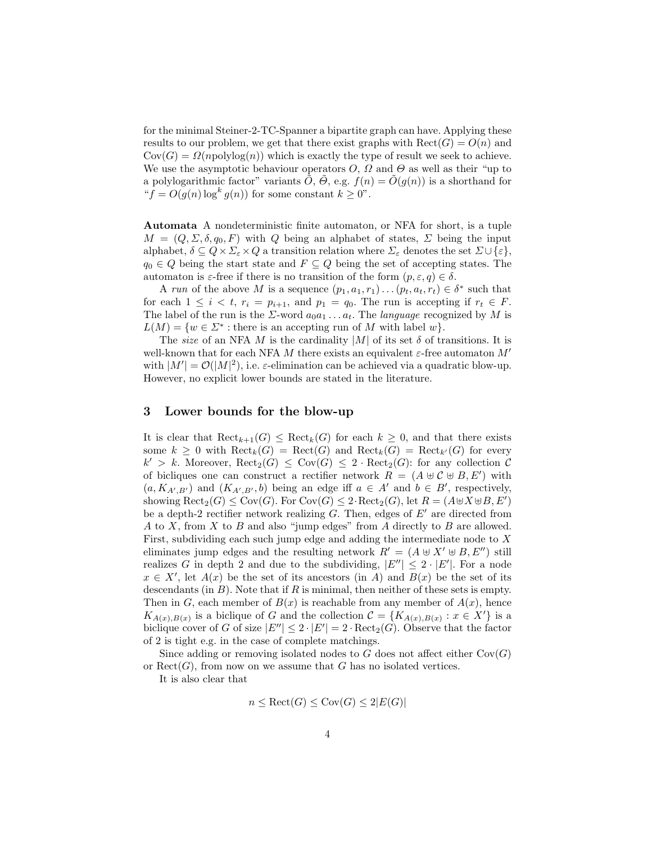for the minimal Steiner-2-TC-Spanner a bipartite graph can have. Applying these results to our problem, we get that there exist graphs with  $\text{Rect}(G) = O(n)$  and  $Cov(G) = \Omega(npolylog(n))$  which is exactly the type of result we seek to achieve. We use the asymptotic behaviour operators  $O, \Omega$  and  $\Theta$  as well as their "up to a polylogarithmic factor" variants  $\hat{O}$ ,  $\hat{\Theta}$ , e.g.  $f(n) = \hat{O}(g(n))$  is a shorthand for " $f = O(g(n) \log^k g(n))$  for some constant  $k \geq 0$ ".

Automata A nondeterministic finite automaton, or NFA for short, is a tuple  $M = (Q, \Sigma, \delta, q_0, F)$  with Q being an alphabet of states,  $\Sigma$  being the input alphabet,  $\delta \subseteq Q \times \Sigma_{\varepsilon} \times Q$  a transition relation where  $\Sigma_{\varepsilon}$  denotes the set  $\Sigma \cup {\varepsilon}$ ,  $q_0 \in Q$  being the start state and  $F \subseteq Q$  being the set of accepting states. The automaton is  $\varepsilon$ -free if there is no transition of the form  $(p, \varepsilon, q) \in \delta$ .

A run of the above M is a sequence  $(p_1, a_1, r_1) \dots (p_t, a_t, r_t) \in \delta^*$  such that for each  $1 \leq i \leq t$ ,  $r_i = p_{i+1}$ , and  $p_1 = q_0$ . The run is accepting if  $r_t \in F$ . The label of the run is the  $\Sigma$ -word  $a_0a_1 \ldots a_t$ . The *language* recognized by M is  $L(M) = \{w \in \Sigma^* : \text{there is an accepting run of } M \text{ with label } w\}.$ 

The size of an NFA M is the cardinality  $|M|$  of its set  $\delta$  of transitions. It is well-known that for each NFA M there exists an equivalent  $\varepsilon$ -free automaton M' with  $|M'| = \mathcal{O}(|M|^2)$ , i.e.  $\varepsilon$ -elimination can be achieved via a quadratic blow-up. However, no explicit lower bounds are stated in the literature.

#### <span id="page-4-0"></span>3 Lower bounds for the blow-up

It is clear that  $\text{Rect}_{k+1}(G) \leq \text{Rect}_k(G)$  for each  $k \geq 0$ , and that there exists some  $k \geq 0$  with  $\text{Rect}_k(G) = \text{Rect}(G)$  and  $\text{Rect}_k(G) = \text{Rect}_{k'}(G)$  for every  $k' > k$ . Moreover,  $\text{Rect}_2(G) \leq \text{Cov}(G) \leq 2 \cdot \text{Rect}_2(G)$ : for any collection C of bicliques one can construct a rectifier network  $R = (A \oplus C \oplus B, E')$  with  $(a, K_{A', B'})$  and  $(K_{A', B'}, b)$  being an edge iff  $a \in A'$  and  $b \in B'$ , respectively, showing  $\text{Rect}_2(G) \leq \text{Cov}(G)$ . For  $\text{Cov}(G) \leq 2 \cdot \text{Rect}_2(G)$ , let  $R = (A \cup X \cup B, E')$ be a depth-2 rectifier network realizing  $G$ . Then, edges of  $E'$  are directed from A to X, from X to B and also "jump edges" from A directly to B are allowed. First, subdividing each such jump edge and adding the intermediate node to X eliminates jump edges and the resulting network  $R' = (A \oplus X' \oplus B, E'')$  still realizes G in depth 2 and due to the subdividing,  $|E''| \leq 2 \cdot |E'|$ . For a node  $x \in X'$ , let  $A(x)$  be the set of its ancestors (in A) and  $B(x)$  be the set of its descendants (in  $B$ ). Note that if  $R$  is minimal, then neither of these sets is empty. Then in G, each member of  $B(x)$  is reachable from any member of  $A(x)$ , hence  $K_{A(x),B(x)}$  is a biclique of G and the collection  $\mathcal{C} = \{K_{A(x),B(x)} : x \in X'\}$  is a biclique cover of G of size  $|E''| \leq 2 \cdot |E'| = 2 \cdot \text{Rect}_2(G)$ . Observe that the factor of 2 is tight e.g. in the case of complete matchings.

Since adding or removing isolated nodes to G does not affect either  $Cov(G)$ or  $\text{Rect}(G)$ , from now on we assume that G has no isolated vertices.

It is also clear that

$$
n \le \text{Rect}(G) \le \text{Cov}(G) \le 2|E(G)|
$$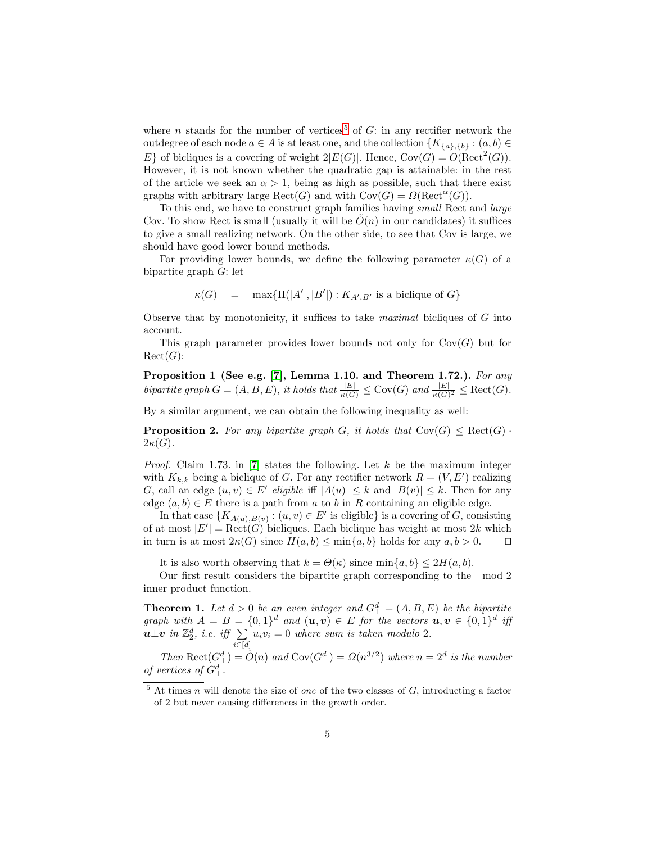where *n* stands for the number of vertices<sup>[5](#page-5-0)</sup> of  $G$ : in any rectifier network the outdegree of each node  $a \in A$  is at least one, and the collection  $\{K_{\{a\},\{b\}} : (a,b) \in$ E} of bicliques is a covering of weight  $2|E(G)|$ . Hence,  $Cov(G) = O(\text{Rect}^2(G))$ . However, it is not known whether the quadratic gap is attainable: in the rest of the article we seek an  $\alpha > 1$ , being as high as possible, such that there exist graphs with arbitrary large  $\text{Rect}(G)$  and with  $\text{Cov}(G) = \Omega(\text{Rect}^{\alpha}(G)).$ 

To this end, we have to construct graph families having *small* Rect and *large* Cov. To show Rect is small (usually it will be  $\tilde{O}(n)$  in our candidates) it suffices to give a small realizing network. On the other side, to see that Cov is large, we should have good lower bound methods.

For providing lower bounds, we define the following parameter  $\kappa(G)$  of a bipartite graph G: let

<span id="page-5-2"></span>
$$
\kappa(G) \quad = \quad \max\{\text{H}(|A'|,|B'|): K_{A',B'} \text{ is a biclique of } G\}
$$

Observe that by monotonicity, it suffices to take *maximal* bicliques of  $G$  into account.

<span id="page-5-1"></span>This graph parameter provides lower bounds not only for  $Cov(G)$  but for  $\mathrm{Rect}(G)$ :

Proposition 1 (See e.g. [\[7\]](#page-12-4), Lemma 1.10. and Theorem 1.72.). For any bipartite graph  $G = (A, B, E)$ , it holds that  $\frac{|E|}{\kappa(G)} \leq \text{Cov}(G)$  and  $\frac{|E|}{\kappa(G)^2} \leq \text{Rect}(G)$ .

By a similar argument, we can obtain the following inequality as well:

**Proposition 2.** For any bipartite graph G, it holds that  $Cov(G) \leq \text{Rect}(G)$ .  $2\kappa(G)$ .

*Proof.* Claim 1.73. in [\[7\]](#page-12-4) states the following. Let  $k$  be the maximum integer with  $K_{k,k}$  being a biclique of G. For any rectifier network  $R = (V, E')$  realizing G, call an edge  $(u, v) \in E'$  eligible iff  $|A(u)| \leq k$  and  $|B(v)| \leq k$ . Then for any edge  $(a, b) \in E$  there is a path from a to b in R containing an eligible edge.

In that case  $\{K_{A(u),B(v)} : (u, v) \in E' \text{ is eligible}\}\$ is a covering of G, consisting of at most  $|E'| = \text{Rect}(G)$  bicliques. Each biclique has weight at most 2k which in turn is at most  $2\kappa(G)$  since  $H(a, b) \leq \min\{a, b\}$  holds for any  $a, b > 0$ . □

<span id="page-5-3"></span>It is also worth observing that  $k = \Theta(\kappa)$  since  $\min\{a, b\} \leq 2H(a, b)$ .

Our first result considers the bipartite graph corresponding to the mod 2 inner product function.

**Theorem 1.** Let  $d > 0$  be an even integer and  $G_{\perp}^d = (A, B, E)$  be the bipartite graph with  $A = B = \{0, 1\}^d$  and  $(\mathbf{u}, \mathbf{v}) \in E$  for the vectors  $\mathbf{u}, \mathbf{v} \in \{0, 1\}^d$  iff  $u \bot v$  in  $\mathbb{Z}_2^d$ , i.e. iff  $\sum$  $i \in [d]$  $u_i v_i = 0$  where sum is taken modulo 2.

Then  $\text{Rect}(G_{\perp}^d) = \tilde{O}(n)$  and  $\text{Cov}(G_{\perp}^d) = \Omega(n^{3/2})$  where  $n = 2^d$  is the number of vertices of  $G^d_{\perp}$ .

<span id="page-5-0"></span><sup>5</sup> At times n will denote the size of *one* of the two classes of G, introducting a factor of 2 but never causing differences in the growth order.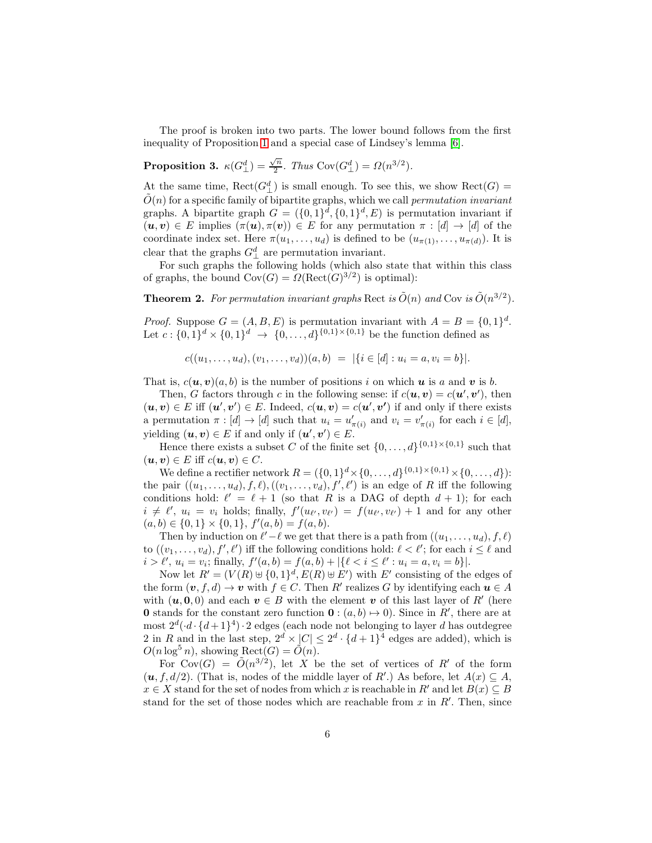The proof is broken into two parts. The lower bound follows from the first inequality of Proposition [1](#page-5-1) and a special case of Lindsey's lemma [\[6\]](#page-12-13).

Proposition 3.  $\kappa(G_{\perp}^d) = \frac{\sqrt{n}}{2}$  $\frac{\gamma_n}{2}$ . Thus  $\text{Cov}(G_{\perp}^d) = \Omega(n^{3/2})$ .

At the same time,  $\text{Rect}(G^d_\perp)$  is small enough. To see this, we show  $\text{Rect}(G) = \tilde{f}(G)$  $\tilde{O}(n)$  for a specific family of bipartite graphs, which we call *permutation invariant* graphs. A bipartite graph  $G = (\{0,1\}^d, \{0,1\}^d, E)$  is permutation invariant if  $(u, v) \in E$  implies  $(\pi(u), \pi(v)) \in E$  for any permutation  $\pi : [d] \to [d]$  of the coordinate index set. Here  $\pi(u_1,\ldots,u_d)$  is defined to be  $(u_{\pi(1)},\ldots,u_{\pi(d)})$ . It is clear that the graphs  $G^d_{\perp}$  are permutation invariant.

For such graphs the following holds (which also state that within this class of graphs, the bound  $Cov(G) = \Omega(\text{Rect}(G)^{3/2})$  is optimal):

**Theorem 2.** For permutation invariant graphs Rect is  $\tilde{O}(n)$  and Cov is  $\tilde{O}(n^{3/2})$ .

*Proof.* Suppose  $G = (A, B, E)$  is permutation invariant with  $A = B = \{0, 1\}^d$ . Let  $c: \{0,1\}^d \times \{0,1\}^d \to \{0,\ldots,d\}^{\{0,1\} \times \{0,1\}}$  be the function defined as

<span id="page-6-0"></span>
$$
c((u_1,\ldots,u_d),(v_1,\ldots,v_d))(a,b) = |\{i \in [d] : u_i = a, v_i = b\}|.
$$

That is,  $c(\mathbf{u}, \mathbf{v})(a, b)$  is the number of positions i on which **u** is a and **v** is b.

Then, G factors through c in the following sense: if  $c(\mathbf{u}, \mathbf{v}) = c(\mathbf{u}', \mathbf{v}')$ , then  $(\boldsymbol{u}, \boldsymbol{v}) \in E$  iff  $(\boldsymbol{u}', \boldsymbol{v}') \in E$ . Indeed,  $c(\boldsymbol{u}, \boldsymbol{v}) = c(\boldsymbol{u}', \boldsymbol{v}')$  if and only if there exists a permutation  $\pi : [d] \to [d]$  such that  $u_i = u'_{\pi(i)}$  and  $v_i = v'_{\pi(i)}$  for each  $i \in [d]$ , yielding  $(\boldsymbol{u}, \boldsymbol{v}) \in E$  if and only if  $(\boldsymbol{u}', \boldsymbol{v}') \in E$ .

Hence there exists a subset C of the finite set  $\{0, \ldots, d\}^{\{0,1\} \times \{0,1\}}$  such that  $(\mathbf{u}, \mathbf{v}) \in E$  iff  $c(\mathbf{u}, \mathbf{v}) \in C$ .

We define a rectifier network  $R = (\{0, 1\}^d \times \{0, \ldots, d\}^{\{0, 1\} \times \{0, 1\}} \times \{0, \ldots, d\})$ : the pair  $((u_1, \ldots, u_d), f, \ell), ((v_1, \ldots, v_d), f', \ell')$  is an edge of R iff the following conditions hold:  $\ell' = \ell + 1$  (so that R is a DAG of depth  $d + 1$ ); for each  $i \neq \ell'$ ,  $u_i = v_i$  holds; finally,  $f'(u_{\ell'}, v_{\ell'}) = f(u_{\ell'}, v_{\ell'}) + 1$  and for any other  $(a, b) \in \{0, 1\} \times \{0, 1\}, f'(a, b) = f(a, b).$ 

Then by induction on  $\ell'-\ell$  we get that there is a path from  $((u_1, \ldots, u_d), f, \ell)$ to  $((v_1, \ldots, v_d), f', \ell')$  iff the following conditions hold:  $\ell < \ell'$ ; for each  $i \leq \ell$  and  $i > l', u_i = v_i;$  finally,  $f'(a, b) = f(a, b) + |\{\ell < i \leq \ell': u_i = a, v_i = b\}|.$ 

Now let  $R' = (V(R) \cup \{0,1\}^d, E(R) \cup E')$  with  $E'$  consisting of the edges of the form  $(v, f, d) \to v$  with  $f \in C$ . Then R' realizes G by identifying each  $u \in A$ with  $(\boldsymbol{u}, 0, 0)$  and each  $\boldsymbol{v} \in B$  with the element v of this last layer of R' (here **0** stands for the constant zero function  $\mathbf{0} : (a, b) \mapsto 0$ . Since in R', there are at most  $2^d \cdot (d \cdot \{d+1\}^4) \cdot 2$  edges (each node not belonging to layer d has outdegree 2 in R and in the last step,  $2^d \times |C| \leq 2^d \cdot \{d+1\}^4$  edges are added), which is  $O(n \log^5 n)$ , showing  $\text{Rect}(G) = \tilde{O}(n)$ .

For  $Cov(G) = \tilde{O}(n^{3/2})$ , let X be the set of vertices of R' of the form  $(u, f, d/2)$ . (That is, nodes of the middle layer of R'.) As before, let  $A(x) \subseteq A$ ,  $x \in X$  stand for the set of nodes from which x is reachable in R' and let  $B(x) \subseteq B$ stand for the set of those nodes which are reachable from  $x$  in  $R'$ . Then, since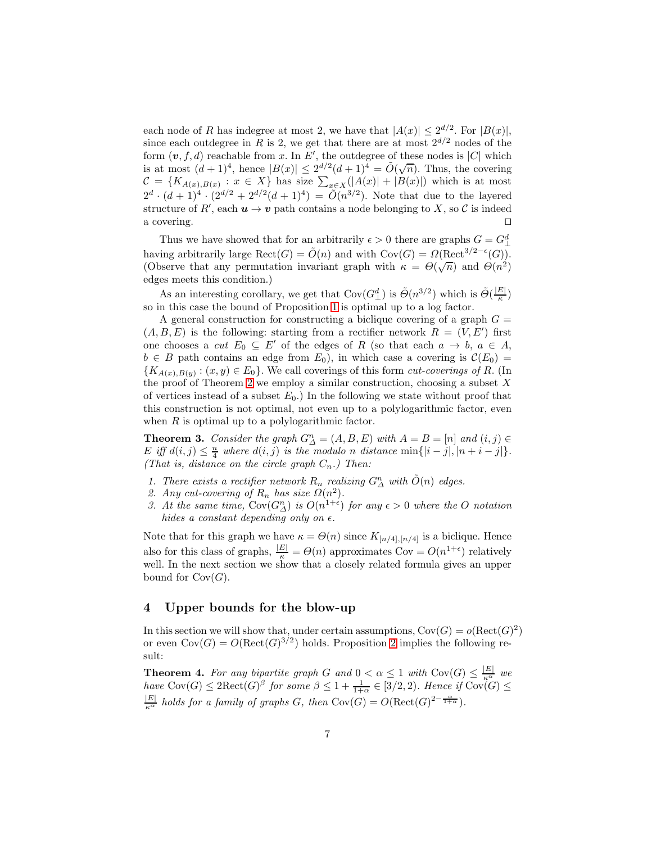each node of R has indegree at most 2, we have that  $|A(x)| \leq 2^{d/2}$ . For  $|B(x)|$ , since each outdegree in R is 2, we get that there are at most  $2^{d/2}$  nodes of the form  $(v, f, d)$  reachable from x. In E', the outdegree of these nodes is |C| which is at most  $(d+1)^4$ , hence  $|B(x)| \leq 2\frac{d^2}{2}(d+1)^4 = \tilde{O}(\sqrt{n})$ . Thus, the covering  $\mathcal{C} = \{K_{A(x),B(x)} : x \in X\}$  has size  $\sum_{x \in X} (|A(x)| + |B(x)|)$  which is at most  $2^d \cdot (d+1)^4 \cdot (2^{d/2} + 2^{d/2}(d+1)^4) = \tilde{O}(n^{3/2})$ . Note that due to the layered structure of  $R'$ , each  $u \to v$  path contains a node belonging to X, so C is indeed a covering. □

Thus we have showed that for an arbitrarily  $\epsilon > 0$  there are graphs  $G = G_{\perp}^d$ having arbitrarily large  $\text{Rect}(G) = \tilde{O}(n)$  and with  $\text{Cov}(G) = \Omega(\text{Rect}^{3/2-\epsilon}(G)).$ (Observe that any permutation invariant graph with  $\kappa = \Theta(\sqrt{n})$  and  $\Theta(n^2)$ ) edges meets this condition.)

As an interesting corollary, we get that  $Cov(G_{\perp}^d)$  is  $\tilde{\Theta}(n^{3/2})$  which is  $\tilde{\Theta}(\frac{|E|}{\kappa})$ so in this case the bound of Proposition [1](#page-5-1) is optimal up to a log factor.

A general construction for constructing a biclique covering of a graph  $G =$  $(A, B, E)$  is the following: starting from a rectifier network  $R = (V, E')$  first one chooses a *cut*  $E_0 \subseteq E'$  of the edges of R (so that each  $a \to b$ ,  $a \in A$ ,  $b \in B$  path contains an edge from  $E_0$ ), in which case a covering is  $\mathcal{C}(E_0) =$  ${K_{A(x),B(y)}: (x, y) \in E_0}$ . We call coverings of this form *cut-coverings of R*. (In the proof of Theorem [2](#page-6-0) we employ a similar construction, choosing a subset  $X$ of vertices instead of a subset  $E_0$ .) In the following we state without proof that this construction is not optimal, not even up to a polylogarithmic factor, even when  $R$  is optimal up to a polylogarithmic factor.

**Theorem 3.** Consider the graph  $G_{\Delta}^{n} = (A, B, E)$  with  $A = B = [n]$  and  $(i, j) \in$ E iff  $d(i, j) \leq \frac{n}{4}$  where  $d(i, j)$  is the modulo n distance  $\min\{|i - j|, |n + i - j|\}.$ (That is, distance on the circle graph  $C_n$ .) Then:

- 1. There exists a rectifier network  $R_n$  realizing  $G_{\Delta}^n$  with  $\tilde{O}(n)$  edges.
- 2. Any cut-covering of  $R_n$  has size  $\Omega(n^2)$ .
- 3. At the same time,  $\text{Cov}(G_{\Delta}^n)$  is  $O(n^{1+\epsilon})$  for any  $\epsilon > 0$  where the O notation hides a constant depending only on  $\epsilon$ .

Note that for this graph we have  $\kappa = \Theta(n)$  since  $K_{[n/4],[n/4]}$  is a biclique. Hence also for this class of graphs,  $\frac{|E|}{\kappa} = \Theta(n)$  approximates  $Cov = O(n^{1+\epsilon})$  relatively well. In the next section we show that a closely related formula gives an upper bound for  $Cov(G)$ .

#### <span id="page-7-0"></span>4 Upper bounds for the blow-up

In this section we will show that, under certain assumptions,  $Cov(G) = o(Rec(G)^2)$ or even  $Cov(G) = O(Rect(G)^{3/2})$  holds. Proposition [2](#page-5-2) implies the following result:

<span id="page-7-1"></span>**Theorem 4.** For any bipartite graph G and  $0 < \alpha \leq 1$  with  $Cov(G) \leq \frac{|E|}{\kappa^{\alpha}}$  we have  $Cov(G) \leq 2\mathrm{Rect}(G)^{\beta}$  for some  $\beta \leq 1 + \frac{1}{1+\alpha} \in [3/2, 2)$ . Hence if  $Cov(G) \leq$  $\frac{|E|}{\kappa^{\alpha}}$  holds for a family of graphs G, then Cov(G) =  $O(\text{Rect}(G)^{2-\frac{\alpha}{1+\alpha}})$ .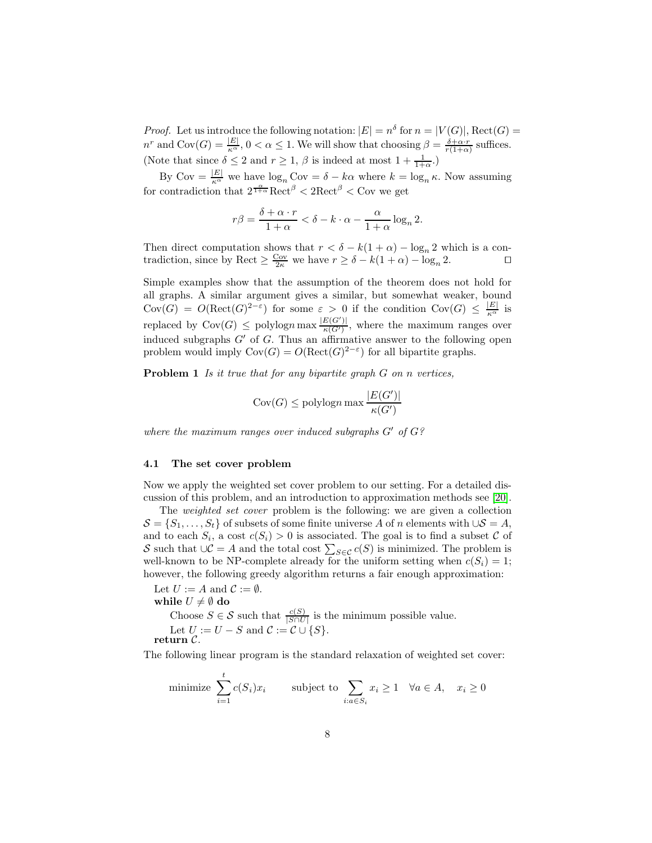*Proof.* Let us introduce the following notation:  $|E| = n^{\delta}$  for  $n = |V(G)|$ , Rect(G) =  $n^r$  and  $\text{Cov}(G) = \frac{|E|}{\kappa^{\alpha}}, 0 < \alpha \leq 1$ . We will show that choosing  $\beta = \frac{\delta + \alpha \cdot r}{r(1+\alpha)}$  suffices. (Note that since  $\delta \leq 2$  and  $r \geq 1$ ,  $\beta$  is indeed at most  $1 + \frac{1}{1+\alpha}$ .)

By  $Cov = \frac{|E|}{\kappa^{\alpha}}$  we have  $\log_n Cov = \delta - k\alpha$  where  $k = \log_n \kappa$ . Now assuming for contradiction that  $2^{\frac{\alpha}{1+\alpha}}$ Rect<sup> $\beta$ </sup> < 2Rect<sup> $\beta$ </sup> < Cov we get

$$
r\beta = \frac{\delta + \alpha \cdot r}{1 + \alpha} < \delta - k \cdot \alpha - \frac{\alpha}{1 + \alpha} \log_n 2.
$$

Then direct computation shows that  $r < \delta - k(1 + \alpha) - \log_n 2$  which is a contradiction, since by Rect  $> \frac{Cov}{\epsilon}$  we have  $r > \delta - k(1 + \alpha) - \log_2 2$ . tradiction, since by Rect  $\geq \frac{C_{\text{ov}}}{2\kappa}$  we have  $r \geq \delta - k(1 + \alpha) - \log_n 2$ . □

Simple examples show that the assumption of the theorem does not hold for all graphs. A similar argument gives a similar, but somewhat weaker, bound  $Cov(G) = O(Rect(G)^{2-\varepsilon})$  for some  $\varepsilon > 0$  if the condition  $Cov(G) \leq \frac{|E|}{\kappa^{\alpha}}$  is replaced by  $Cov(G) \leq polylog n \max \frac{|E(G')|}{\kappa(G')}$ , where the maximum ranges over induced subgraphs  $G'$  of  $G$ . Thus an affirmative answer to the following open problem would imply  $Cov(G) = O(Rect(G)^{2-\epsilon})$  for all bipartite graphs.

**Problem 1** Is it true that for any bipartite graph  $G$  on n vertices,

$$
Cov(G) \leq \text{polylog} n \max \frac{|E(G')|}{\kappa(G')}
$$

where the maximum ranges over induced subgraphs  $G'$  of  $G$ ?

#### 4.1 The set cover problem

Now we apply the weighted set cover problem to our setting. For a detailed discussion of this problem, and an introduction to approximation methods see [\[20\]](#page-12-14).

The *weighted set cover* problem is the following: we are given a collection  $S = \{S_1, \ldots, S_t\}$  of subsets of some finite universe A of n elements with  $\cup S = A$ , and to each  $S_i$ , a cost  $c(S_i) > 0$  is associated. The goal is to find a subset C of S such that  $\bigcup_{S} C = A$  and the total cost  $\sum_{S \in C} c(S)$  is minimized. The problem is well-known to be NP-complete already for the uniform setting when  $c(S_i) = 1$ ; however, the following greedy algorithm returns a fair enough approximation:

Let  $U := A$  and  $C := \emptyset$ . while  $U \neq \emptyset$  do Choose  $S \in \mathcal{S}$  such that  $\frac{c(S)}{|S \cap U|}$  is the minimum possible value. Let  $U := U - S$  and  $\mathcal{C} := \mathcal{C} \cup \{S\}.$  $return C.$ 

The following linear program is the standard relaxation of weighted set cover:

minimize 
$$
\sum_{i=1}^{t} c(S_i)x_i
$$
 subject to  $\sum_{i:a \in S_i} x_i \ge 1 \quad \forall a \in A, \quad x_i \ge 0$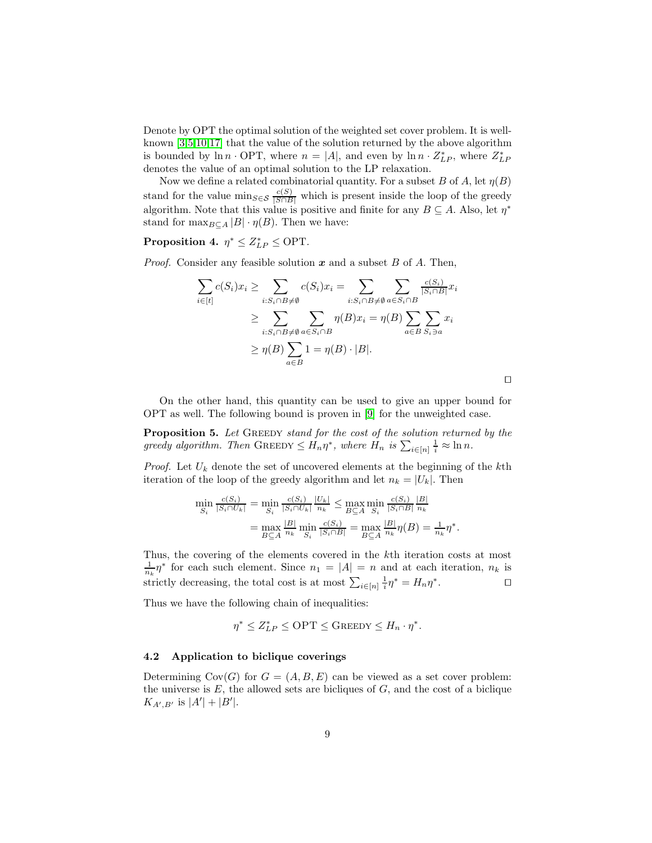Denote by OPT the optimal solution of the weighted set cover problem. It is wellknown [\[3](#page-12-15)[,5](#page-12-16)[,10](#page-12-5)[,17\]](#page-12-17) that the value of the solution returned by the above algorithm is bounded by  $\ln n \cdot \text{OPT}$ , where  $n = |A|$ , and even by  $\ln n \cdot Z_{LP}^*$ , where  $Z_{LP}^*$ denotes the value of an optimal solution to the LP relaxation.

Now we define a related combinatorial quantity. For a subset B of A, let  $\eta(B)$ stand for the value  $\min_{S \in \mathcal{S}} \frac{c(S)}{|S \cap B|}$  which is present inside the loop of the greedy algorithm. Note that this value is positive and finite for any  $B \subseteq A$ . Also, let  $\eta^*$ stand for  $\max_{B \subset A} |B| \cdot \eta(B)$ . Then we have:

### Proposition 4.  $\eta^* \leq Z_{LP}^* \leq \text{OPT}$ .

*Proof.* Consider any feasible solution  $x$  and a subset  $B$  of  $A$ . Then,

$$
\sum_{i \in [t]} c(S_i)x_i \ge \sum_{i:S_i \cap B \ne \emptyset} c(S_i)x_i = \sum_{i:S_i \cap B \ne \emptyset} \sum_{a \in S_i \cap B} \sum_{a \in S_i \cap B} \frac{c(S_i)}{|S_i \cap B|} x_i
$$
  
\n
$$
\ge \sum_{i:S_i \cap B \ne \emptyset} \sum_{a \in S_i \cap B} \eta(B)x_i = \eta(B) \sum_{a \in B} \sum_{S_i \ni a} x_i
$$
  
\n
$$
\ge \eta(B) \sum_{a \in B} 1 = \eta(B) \cdot |B|.
$$

<span id="page-9-0"></span>⊓⊔

On the other hand, this quantity can be used to give an upper bound for OPT as well. The following bound is proven in [\[9\]](#page-12-18) for the unweighted case.

Proposition 5. Let GREEDY stand for the cost of the solution returned by the greedy algorithm. Then GREEDY  $\leq H_n \eta^*$ , where  $H_n$  is  $\sum_{i \in [n]} \frac{1}{i} \approx \ln n$ .

*Proof.* Let  $U_k$  denote the set of uncovered elements at the beginning of the kth iteration of the loop of the greedy algorithm and let  $n_k = |U_k|$ . Then

$$
\min_{S_i} \frac{c(S_i)}{|S_i \cap U_k|} = \min_{S_i} \frac{c(S_i)}{|S_i \cap U_k|} \frac{|U_k|}{n_k} \le \max_{B \subseteq A} \min_{S_i} \frac{c(S_i)}{|S_i \cap B|} \frac{|B|}{n_k}
$$

$$
= \max_{B \subseteq A} \frac{|B|}{n_k} \min_{S_i} \frac{c(S_i)}{|S_i \cap B|} = \max_{B \subseteq A} \frac{|B|}{n_k} \eta(B) = \frac{1}{n_k} \eta^*.
$$

Thus, the covering of the elements covered in the kth iteration costs at most  $\frac{1}{n_k}\eta^*$  for each such element. Since  $n_1 = |A| = n$  and at each iteration,  $n_k$  is strictly decreasing, the total cost is at most  $\sum_{i \in [n]} \frac{1}{i} \eta^* = H_n \eta^*$ . ⊓⊔

Thus we have the following chain of inequalities:

$$
\eta^* \le Z_{LP}^* \le \text{OPT} \le \text{Green}_{Y} \le H_n \cdot \eta^*.
$$

#### 4.2 Application to biclique coverings

Determining  $Cov(G)$  for  $G = (A, B, E)$  can be viewed as a set cover problem: the universe is  $E$ , the allowed sets are bicliques of  $G$ , and the cost of a biclique  $K_{A',B'}$  is  $|A'| + |B'|$ .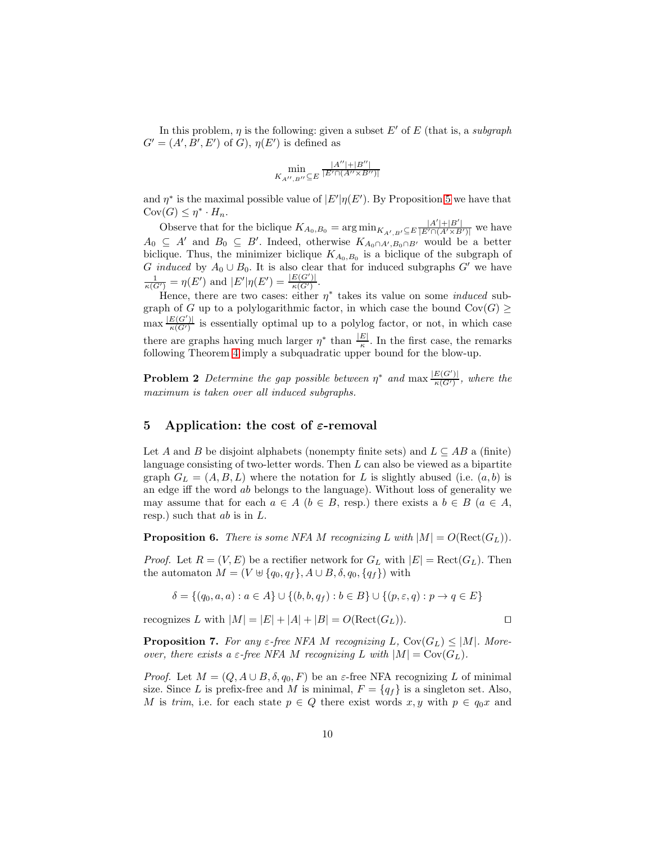In this problem,  $\eta$  is the following: given a subset E' of E (that is, a subgraph  $G' = (A', B', E')$  of  $G$ ,  $\eta(E')$  is defined as

$$
\min_{K_{A^{\prime\prime},B^{\prime\prime}}\subseteq E}\tfrac{|A^{\prime\prime}|+|B^{\prime\prime}|}{|E^\prime\cap (A^{\prime\prime}\times B^{\prime\prime})|}
$$

and  $\eta^*$  is the maximal possible value of  $|E'|\eta(E')$ . By Proposition [5](#page-9-0) we have that  $Cov(G) \leq \eta^* \cdot H_n$ .

Observe that for the biclique  $K_{A_0,B_0} = \arg \min_{K_{A',B'} \subseteq E} \frac{|A'| + |B'|}{|E' \cap (A' \times B')|}$  we have  $A_0 \subseteq A'$  and  $B_0 \subseteq B'$ . Indeed, otherwise  $K_{A_0 \cap A', B_0 \cap B'}$  would be a better biclique. Thus, the minimizer biclique  $K_{A_0,B_0}$  is a biclique of the subgraph of G induced by  $A_0 \cup B_0$ . It is also clear that for induced subgraphs G' we have  $\frac{1}{\kappa(G')} = \eta(E')$  and  $|E'|\eta(E') = \frac{|E(G')|}{\kappa(G')}$ .

Hence, there are two cases: either  $\eta^*$  takes its value on some *induced* subgraph of G up to a polylogarithmic factor, in which case the bound  $Cov(G) \geq$  $\max \frac{|E(G')|}{\kappa(G')}$  is essentially optimal up to a polylog factor, or not, in which case there are graphs having much larger  $\eta^*$  than  $\frac{|E|}{\kappa}$ . In the first case, the remarks following Theorem [4](#page-7-1) imply a subquadratic upper bound for the blow-up.

**Problem 2** Determine the gap possible between  $\eta^*$  and  $\max \frac{|E(G')|}{\kappa(G')}$ , where the maximum is taken over all induced subgraphs.

#### <span id="page-10-0"></span>5 Application: the cost of  $\varepsilon$ -removal

Let A and B be disjoint alphabets (nonempty finite sets) and  $L \subseteq AB$  a (finite) language consisting of two-letter words. Then L can also be viewed as a bipartite graph  $G_L = (A, B, L)$  where the notation for L is slightly abused (i.e.  $(a, b)$ ) is an edge iff the word ab belongs to the language). Without loss of generality we may assume that for each  $a \in A$  ( $b \in B$ , resp.) there exists a  $b \in B$  ( $a \in A$ , resp.) such that  $ab$  is in  $L$ .

**Proposition 6.** There is some NFA M recognizing L with  $|M| = O(Rec(G_L))$ .

*Proof.* Let  $R = (V, E)$  be a rectifier network for  $G_L$  with  $|E| = \text{Rect}(G_L)$ . Then the automaton  $M = (V \oplus \{q_0, q_f\}, A \cup B, \delta, q_0, \{q_f\})$  with

$$
\delta = \{(q_0, a, a) : a \in A\} \cup \{(b, b, q_f) : b \in B\} \cup \{(p, \varepsilon, q) : p \to q \in E\}
$$

recognizes L with  $|M| = |E| + |A| + |B| = O(\text{Rect}(G_L)).$  □

**Proposition 7.** For any  $\varepsilon$ -free NFA M recognizing L, Cov $(G_L) \leq |M|$ . Moreover, there exists a  $\varepsilon$ -free NFA M recognizing L with  $|M| = \text{Cov}(G_L)$ .

*Proof.* Let  $M = (Q, A \cup B, \delta, q_0, F)$  be an  $\varepsilon$ -free NFA recognizing L of minimal size. Since L is prefix-free and M is minimal,  $F = \{q_f\}$  is a singleton set. Also, M is trim, i.e. for each state  $p \in Q$  there exist words  $x, y$  with  $p \in q_0x$  and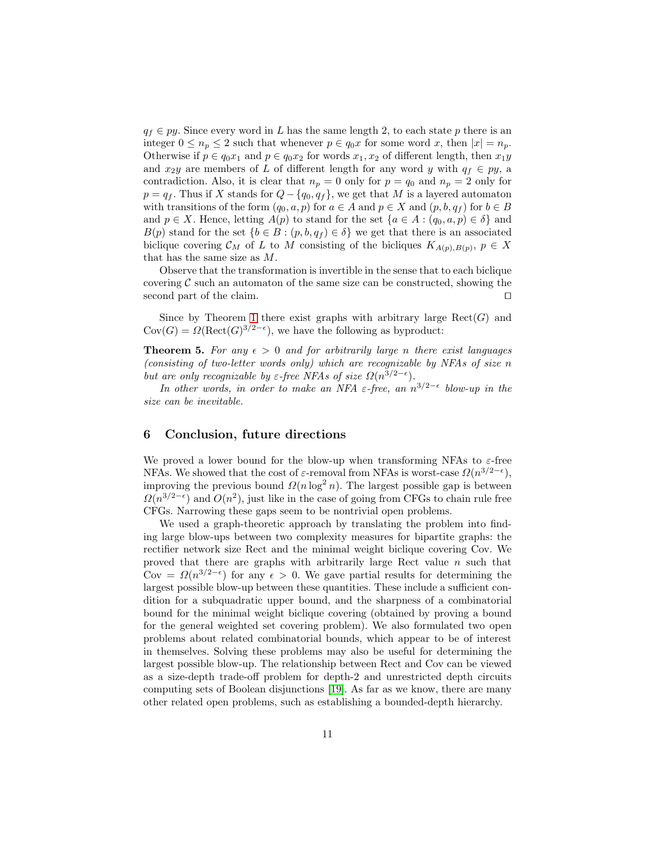$q_f \in py$ . Since every word in L has the same length 2, to each state p there is an integer  $0 \le n_p \le 2$  such that whenever  $p \in q_0x$  for some word x, then  $|x| = n_p$ . Otherwise if  $p \in q_0x_1$  and  $p \in q_0x_2$  for words  $x_1, x_2$  of different length, then  $x_1y$ and  $x_2y$  are members of L of different length for any word y with  $q_f \in py$ , a contradiction. Also, it is clear that  $n_p = 0$  only for  $p = q_0$  and  $n_p = 2$  only for  $p = q_f$ . Thus if X stands for  $Q - \{q_0, q_f\}$ , we get that M is a layered automaton with transitions of the form  $(q_0, a, p)$  for  $a \in A$  and  $p \in X$  and  $(p, b, q_f)$  for  $b \in B$ and  $p \in X$ . Hence, letting  $A(p)$  to stand for the set  $\{a \in A : (q_0, a, p) \in \delta\}$  and  $B(p)$  stand for the set  $\{b \in B : (p, b, q_f) \in \delta\}$  we get that there is an associated biclique covering  $\mathcal{C}_M$  of L to M consisting of the bicliques  $K_{A(p),B(p)}, p \in X$ that has the same size as M.

Observe that the transformation is invertible in the sense that to each biclique covering  $C$  such an automaton of the same size can be constructed, showing the second part of the claim. second part of the claim.

Since by Theorem [1](#page-5-3) there exist graphs with arbitrary large  $\text{Rect}(G)$  and  $Cov(G) = \Omega(\text{Rect}(G)^{3/2-\epsilon}),$  we have the following as byproduct:

**Theorem 5.** For any  $\epsilon > 0$  and for arbitrarily large n there exist languages (consisting of two-letter words only) which are recognizable by NFAs of size n but are only recognizable by  $\varepsilon$ -free NFAs of size  $\Omega(n^{3/2-\epsilon})$ .

In other words, in order to make an NFA  $\varepsilon$ -free, an  $n^{3/2-\epsilon}$  blow-up in the size can be inevitable.

#### 6 Conclusion, future directions

We proved a lower bound for the blow-up when transforming NFAs to  $\varepsilon$ -free NFAs. We showed that the cost of  $\varepsilon$ -removal from NFAs is worst-case  $\Omega(n^{3/2-\epsilon}),$ improving the previous bound  $\Omega(n \log^2 n)$ . The largest possible gap is between  $\Omega(n^{3/2-\epsilon})$  and  $O(n^2)$ , just like in the case of going from CFGs to chain rule free CFGs. Narrowing these gaps seem to be nontrivial open problems.

We used a graph-theoretic approach by translating the problem into finding large blow-ups between two complexity measures for bipartite graphs: the rectifier network size Rect and the minimal weight biclique covering Cov. We proved that there are graphs with arbitrarily large Rect value  $n$  such that Cov =  $\Omega(n^{3/2-\epsilon})$  for any  $\epsilon > 0$ . We gave partial results for determining the largest possible blow-up between these quantities. These include a sufficient condition for a subquadratic upper bound, and the sharpness of a combinatorial bound for the minimal weight biclique covering (obtained by proving a bound for the general weighted set covering problem). We also formulated two open problems about related combinatorial bounds, which appear to be of interest in themselves. Solving these problems may also be useful for determining the largest possible blow-up. The relationship between Rect and Cov can be viewed as a size-depth trade-off problem for depth-2 and unrestricted depth circuits computing sets of Boolean disjunctions [\[19\]](#page-12-19). As far as we know, there are many other related open problems, such as establishing a bounded-depth hierarchy.